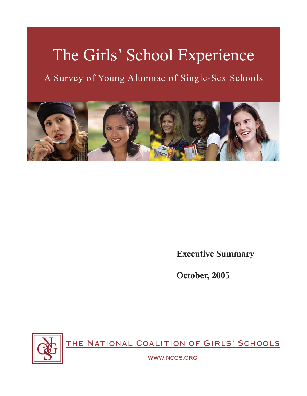# The Girls' School Experience

A Survey of Young Alumnae of Single-Sex Schools



**Executive Summary**

**October, 2005**



the National Coalition of Girls' Schools

www.ncgs.org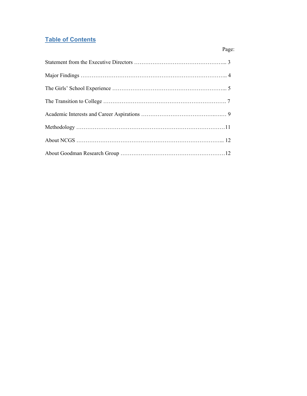# **Table of Contents**

Page: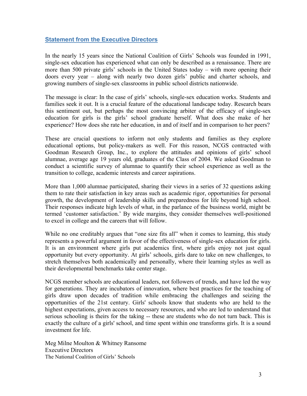## **Statement from the Executive Directors**

In the nearly 15 years since the National Coalition of Girls' Schools was founded in 1991, single-sex education has experienced what can only be described as a renaissance. There are more than 500 private girls' schools in the United States today – with more opening their doors every year – along with nearly two dozen girls' public and charter schools, and growing numbers of single-sex classrooms in public school districts nationwide.

The message is clear: In the case of girls' schools, single-sex education works. Students and families seek it out. It is a crucial feature of the educational landscape today. Research bears this sentiment out, but perhaps the most convincing arbiter of the efficacy of single-sex education for girls is the girls' school graduate herself. What does she make of her experience? How does she rate her education, in and of itself and in comparison to her peers?

These are crucial questions to inform not only students and families as they explore educational options, but policy-makers as well. For this reason, NCGS contracted with Goodman Research Group, Inc., to explore the attitudes and opinions of girls' school alumnae, average age 19 years old, graduates of the Class of 2004. We asked Goodman to conduct a scientific survey of alumnae to quantify their school experience as well as the transition to college, academic interests and career aspirations.

More than 1,000 alumnae participated, sharing their views in a series of 32 questions asking them to rate their satisfaction in key areas such as academic rigor, opportunities for personal growth, the development of leadership skills and preparedness for life beyond high school. Their responses indicate high levels of what, in the parlance of the business world, might be termed 'customer satisfaction.' By wide margins, they consider themselves well-positioned to excel in college and the careers that will follow.

While no one creditably argues that "one size fits all" when it comes to learning, this study represents a powerful argument in favor of the effectiveness of single-sex education for girls. It is an environment where girls put academics first, where girls enjoy not just equal opportunity but every opportunity. At girls' schools, girls dare to take on new challenges, to stretch themselves both academically and personally, where their learning styles as well as their developmental benchmarks take center stage.

NCGS member schools are educational leaders, not followers of trends, and have led the way for generations. They are incubators of innovation, where best practices for the teaching of girls draw upon decades of tradition while embracing the challenges and seizing the opportunities of the 21st century. Girls' schools know that students who are held to the highest expectations, given access to necessary resources, and who are led to understand that serious schooling is theirs for the taking -- these are students who do not turn back. This is exactly the culture of a girls' school, and time spent within one transforms girls. It is a sound investment for life.

Meg Milne Moulton & Whitney Ransome Executive Directors The National Coalition of Girls' Schools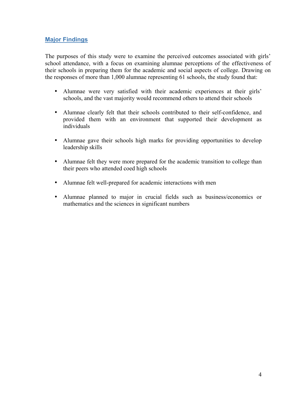## **Major Findings**

The purposes of this study were to examine the perceived outcomes associated with girls' school attendance, with a focus on examining alumnae perceptions of the effectiveness of their schools in preparing them for the academic and social aspects of college. Drawing on the responses of more than 1,000 alumnae representing 61 schools, the study found that:

- Alumnae were very satisfied with their academic experiences at their girls' schools, and the vast majority would recommend others to attend their schools
- Alumnae clearly felt that their schools contributed to their self-confidence, and provided them with an environment that supported their development as individuals
- Alumnae gave their schools high marks for providing opportunities to develop leadership skills
- Alumnae felt they were more prepared for the academic transition to college than their peers who attended coed high schools
- Alumnae felt well-prepared for academic interactions with men
- Alumnae planned to major in crucial fields such as business/economics or mathematics and the sciences in significant numbers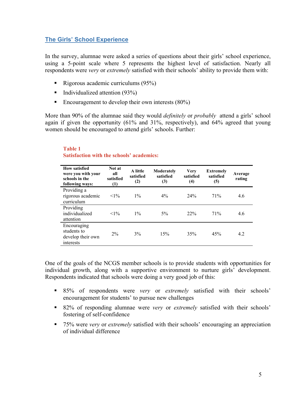## **The Girls' School Experience**

In the survey, alumnae were asked a series of questions about their girls' school experience, using a 5-point scale where 5 represents the highest level of satisfaction. Nearly all respondents were *very* or *extremely* satisfied with their schools' ability to provide them with:

- Rigorous academic curriculums  $(95\%)$
- Individualized attention  $(93%)$
- Encouragement to develop their own interests  $(80\%)$

More than 90% of the alumnae said they would *definitely* or *probably* attend a girls' school again if given the opportunity (61% and 31%, respectively), and 64% agreed that young women should be encouraged to attend girls' schools. Further:

| <b>How satisfied</b><br>were you with your<br>schools in the<br>following ways: | Not at<br>all<br>satisfied<br>(1) | A little<br>satisfied<br>(2) | Moderately<br>satisfied<br>(3) | <b>Very</b><br>satisfied<br>(4) | <b>Extremely</b><br>satisfied<br>(5) | Average<br>rating |
|---------------------------------------------------------------------------------|-----------------------------------|------------------------------|--------------------------------|---------------------------------|--------------------------------------|-------------------|
| Providing a<br>rigorous academic<br>curriculum                                  | $<1\%$                            | $1\%$                        | $4\%$                          | 24%                             | 71%                                  | 4.6               |
| Providing<br>individualized<br>attention                                        | $<1\%$                            | $1\%$                        | $5\%$                          | 22%                             | 71%                                  | 4.6               |
| Encouraging<br>students to<br>develop their own<br>interests                    | 2%                                | 3%                           | 15%                            | 35%                             | 45%                                  | 4.2               |

#### **Table 1 Satisfaction with the schools' academics:**

One of the goals of the NCGS member schools is to provide students with opportunities for individual growth, along with a supportive environment to nurture girls' development. Respondents indicated that schools were doing a very good job of this:

- 85% of respondents were *very* or *extremely* satisfied with their schools' encouragement for students' to pursue new challenges
- 82% of responding alumnae were *very* or *extremely* satisfied with their schools' fostering of self-confidence
- 75% were *very* or *extremely* satisfied with their schools' encouraging an appreciation of individual difference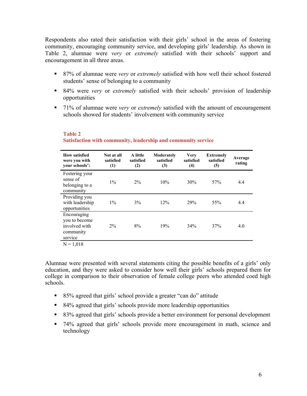Respondents also rated their satisfaction with their girls' school in the areas of fostering community, encouraging community service, and developing girls' leadership. As shown in Table 2, alumnae were *very* or *extremely* satisfied with their schools' support and encouragement in all three areas.

- 87% of alumnae were *very* or *extremely* satisfied with how well their school fostered students' sense of belonging to a community
- 84% were *very* or *extremely* satisfied with their schools' provision of leadership opportunities
- 71% of alumnae were *very* or *extremely* satisfied with the amount of encouragement schools showed for students' involvement with community service

| <b>How satisfied</b><br>were you with<br>your schools':               | Not at all<br>satisfied<br>(1) | A little<br>satisfied<br>(2) | Moderately<br>satisfied<br>(3) | <b>Very</b><br>satisfied<br>(4) | <b>Extremely</b><br>satisfied<br>(5) | Average<br>rating |
|-----------------------------------------------------------------------|--------------------------------|------------------------------|--------------------------------|---------------------------------|--------------------------------------|-------------------|
| Fostering your<br>sense of<br>belonging to a<br>community             | $1\%$                          | $2\%$                        | 10%                            | 30%                             | 57%                                  | 4.4               |
| Providing you<br>with leadership<br>opportunities                     | $1\%$                          | 3%                           | 12%                            | 29%                             | 55%                                  | 4.4               |
| Encouraging<br>you to become<br>involved with<br>community<br>service | $2\%$                          | 8%                           | 19%                            | 34%                             | 37%                                  | 4.0               |

## **Table 2 Satisfaction with community, leadership and community service**

 $N = 1,018$ 

Alumnae were presented with several statements citing the possible benefits of a girls' only education, and they were asked to consider how well their girls' schools prepared them for college in comparison to their observation of female college peers who attended coed high schools.

- 85% agreed that girls' school provide a greater "can do" attitude
- 84% agreed that girls' schools provide more leadership opportunities
- 83% agreed that girls' schools provide a better environment for personal development
- 74% agreed that girls' schools provide more encouragement in math, science and technology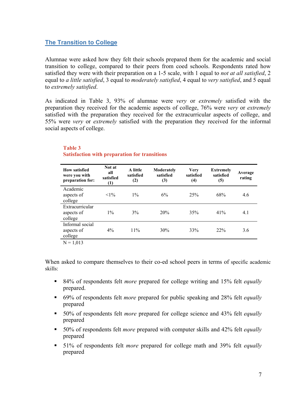## **The Transition to College**

Alumnae were asked how they felt their schools prepared them for the academic and social transition to college, compared to their peers from coed schools. Respondents rated how satisfied they were with their preparation on a 1-5 scale, with 1 equal to *not at all satisfied*, 2 equal to *a little satisfied*, 3 equal to *moderately satisfied*, 4 equal to *very satisfied*, and 5 equal to *extremely satisfied*.

As indicated in Table 3, 93% of alumnae were *very* or *extremely* satisfied with the preparation they received for the academic aspects of college, 76% were *very* or *extremely* satisfied with the preparation they received for the extracurricular aspects of college, and 55% were *very* or *extremely* satisfied with the preparation they received for the informal social aspects of college.

| <b>How satisfied</b><br>were you with<br>preparation for: | Not at<br>all<br>satisfied<br>(1) | A little<br>satisfied<br>(2) | Moderately<br>satisfied<br>(3) | <b>Very</b><br>satisfied<br>(4) | <b>Extremely</b><br>satisfied<br>(5) | Average<br>rating |
|-----------------------------------------------------------|-----------------------------------|------------------------------|--------------------------------|---------------------------------|--------------------------------------|-------------------|
| Academic<br>aspects of<br>college                         | $<1\%$                            | $1\%$                        | 6%                             | 25%                             | 68%                                  | 4.6               |
| Extracurricular<br>aspects of<br>college                  | $1\%$                             | 3%                           | 20%                            | 35%                             | 41%                                  | 4.1               |
| Informal social<br>aspects of<br>college                  | $4\%$                             | 11%                          | 30%                            | 33%                             | 22%                                  | 3.6               |
| 31.012                                                    |                                   |                              |                                |                                 |                                      |                   |

## **Table 3 Satisfaction with preparation for transitions**

 $N = 1,013$ 

When asked to compare themselves to their co-ed school peers in terms of specific academic skills:

- 84% of respondents felt *more* prepared for college writing and 15% felt *equally* prepared.
- 69% of respondents felt *more* prepared for public speaking and 28% felt *equally* prepared
- 50% of respondents felt *more* prepared for college science and 43% felt *equally* prepared
- 50% of respondents felt *more* prepared with computer skills and 42% felt *equally* prepared
- 51% of respondents felt *more* prepared for college math and 39% felt *equally* prepared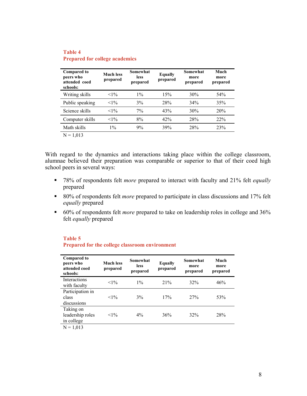| <b>Compared to</b><br>peers who<br>attended coed<br>schools: | <b>Much less</b><br>prepared | Somewhat<br><b>less</b><br>prepared | Equally<br>prepared | Somewhat<br>more<br>prepared | Much<br>more<br>prepared |
|--------------------------------------------------------------|------------------------------|-------------------------------------|---------------------|------------------------------|--------------------------|
| Writing skills                                               | $<1\%$                       | $1\%$                               | 15%                 | 30%                          | 54%                      |
| Public speaking                                              | $<1\%$                       | 3%                                  | 28%                 | 34%                          | 35%                      |
| Science skills                                               | $<1\%$                       | $7\%$                               | 43%                 | 30%                          | 20%                      |
| Computer skills                                              | $<1\%$                       | 8%                                  | 42%                 | 28%                          | 22%                      |
| Math skills                                                  | $1\%$                        | 9%                                  | 39%                 | 28%                          | 23%                      |
| $N = 1.013$                                                  |                              |                                     |                     |                              |                          |

#### **Table 4 Prepared for college academics**

With regard to the dynamics and interactions taking place within the college classroom, alumnae believed their preparation was comparable or superior to that of their coed high school peers in several ways:

- 78% of respondents felt *more* prepared to interact with faculty and 21% felt *equally* prepared
- 80% of respondents felt *more* prepared to participate in class discussions and 17% felt *equally* prepared
- 60% of respondents felt *more* prepared to take on leadership roles in college and 36% felt *equally* prepared

# **Table 5 Prepared for the college classroom environment**

| <b>Compared to</b><br>peers who<br>attended coed<br>schools: | <b>Much less</b><br>prepared | Somewhat<br><b>less</b><br>prepared | <b>Equally</b><br>prepared | Somewhat<br>more<br>prepared | Much<br>more<br>prepared |
|--------------------------------------------------------------|------------------------------|-------------------------------------|----------------------------|------------------------------|--------------------------|
| <b>Interactions</b><br>with faculty                          | $<1\%$                       | $1\%$                               | 21%                        | 32%                          | 46%                      |
| Participation in<br>class<br>discussions                     | $<1\%$                       | 3%                                  | 17%                        | 27%                          | 53%                      |
| Taking on<br>leadership roles<br>in college                  | $<1\%$                       | $4\%$                               | 36%                        | 32%                          | 28%                      |
| $N = 1,013$                                                  |                              |                                     |                            |                              |                          |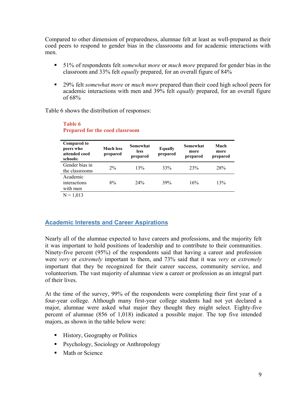Compared to other dimension of preparedness, alumnae felt at least as well-prepared as their coed peers to respond to gender bias in the classrooms and for academic interactions with men.

- 51% of respondents felt *somewhat more* or *much more* prepared for gender bias in the classroom and 33% felt *equally* prepared, for an overall figure of 84%
- 29% felt *somewhat more* or *much more* prepared than their coed high school peers for academic interactions with men and 39% felt *equally* prepared, for an overall figure of 68%

Table 6 shows the distribution of responses:

| <b>Compared to</b><br>peers who<br>attended coed<br>schools: | <b>Much less</b><br>prepared | Somewhat<br><b>less</b><br>prepared | <b>Equally</b><br>prepared | Somewhat<br>more<br>prepared | Much<br>more<br>prepared |
|--------------------------------------------------------------|------------------------------|-------------------------------------|----------------------------|------------------------------|--------------------------|
| Gender bias in<br>the classrooms                             | $2\%$                        | 13%                                 | 33%                        | 23%                          | 28%                      |
| Academic<br>interactions<br>with men                         | 8%                           | 24%                                 | 39%                        | 16%                          | 13%                      |
| $N = 1,013$                                                  |                              |                                     |                            |                              |                          |

#### **Table 6 Prepared for the coed classroom**

# **Academic Interests and Career Aspirations**

Nearly all of the alumnae expected to have careers and professions, and the majority felt it was important to hold positions of leadership and to contribute to their communities. Ninety-five percent (95%) of the respondents said that having a career and profession were *very* or *extremely* important to them, and 73% said that it was *very* or *extremely* important that they be recognized for their career success, community service, and volunteerism. The vast majority of alumnae view a career or profession as an integral part of their lives.

At the time of the survey, 99% of the respondents were completing their first year of a four-year college. Although many first-year college students had not yet declared a major, alumnae were asked what major they thought they might select. Eighty-five percent of alumnae (856 of 1,018) indicated a possible major. The top five intended majors, as shown in the table below were:

- **History, Geography or Politics**
- Psychology, Sociology or Anthropology
- Math or Science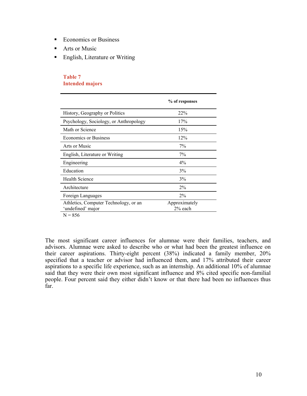- Economics or Business
- Arts or Music
- **English, Literature or Writing**

#### **Table 7 Intended majors**

|                                                            | % of responses             |
|------------------------------------------------------------|----------------------------|
| History, Geography or Politics                             | 22%                        |
| Psychology, Sociology, or Anthropology                     | 17%                        |
| Math or Science                                            | 15%                        |
| <b>Economics or Business</b>                               | 12%                        |
| Arts or Music                                              | $7\%$                      |
| English, Literature or Writing                             | $7\%$                      |
| Engineering                                                | $4\%$                      |
| Education                                                  | 3%                         |
| <b>Health Science</b>                                      | 3%                         |
| Architecture                                               | $2\%$                      |
| Foreign Languages                                          | $2\%$                      |
| Athletics, Computer Technology, or an<br>'undefined' major | Approximately<br>$2%$ each |

 $N = 856$ 

The most significant career influences for alumnae were their families, teachers, and advisors. Alumnae were asked to describe who or what had been the greatest influence on their career aspirations. Thirty-eight percent (38%) indicated a family member, 20% specified that a teacher or advisor had influenced them, and 17% attributed their career aspirations to a specific life experience, such as an internship. An additional 10% of alumnae said that they were their own most significant influence and 8% cited specific non-familial people. Four percent said they either didn't know or that there had been no influences thus far.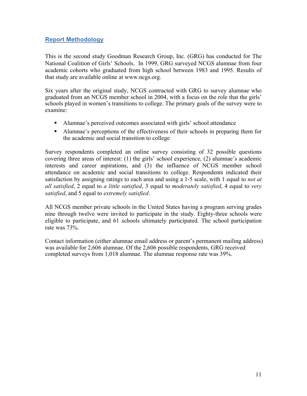## **Report Methodology**

This is the second study Goodman Research Group, Inc. (GRG) has conducted for The National Coalition of Girls' Schools. In 1999, GRG surveyed NCGS alumnae from four academic cohorts who graduated from high school between 1983 and 1995. Results of that study are available online at www.ncgs.org.

Six years after the original study, NCGS contracted with GRG to survey alumnae who graduated from an NCGS member school in 2004, with a focus on the role that the girls' schools played in women's transitions to college. The primary goals of the survey were to examine:

- Alumnae's perceived outcomes associated with girls' school attendance
- Alumnae's perceptions of the effectiveness of their schools in preparing them for the academic and social transition to college

Survey respondents completed an online survey consisting of 32 possible questions covering three areas of interest: (1) the girls' school experience, (2) alumnae's academic interests and career aspirations, and (3) the influence of NCGS member school attendance on academic and social transitions to college. Respondents indicated their satisfaction by assigning ratings to each area and using a 1-5 scale, with 1 equal to *not at all satisfied*, 2 equal to *a little satisfied*, 3 equal to *moderately satisfied*, 4 equal to *very satisfied*, and 5 equal to *extremely satisfied*.

All NCGS member private schools in the United States having a program serving grades nine through twelve were invited to participate in the study. Eighty-three schools were eligible to participate, and 61 schools ultimately participated. The school participation rate was 73%.

Contact information (either alumnae email address or parent's permanent mailing address) was available for 2,606 alumnae. Of the 2,606 possible respondents, GRG received completed surveys from 1,018 alumnae. The alumnae response rate was 39%.